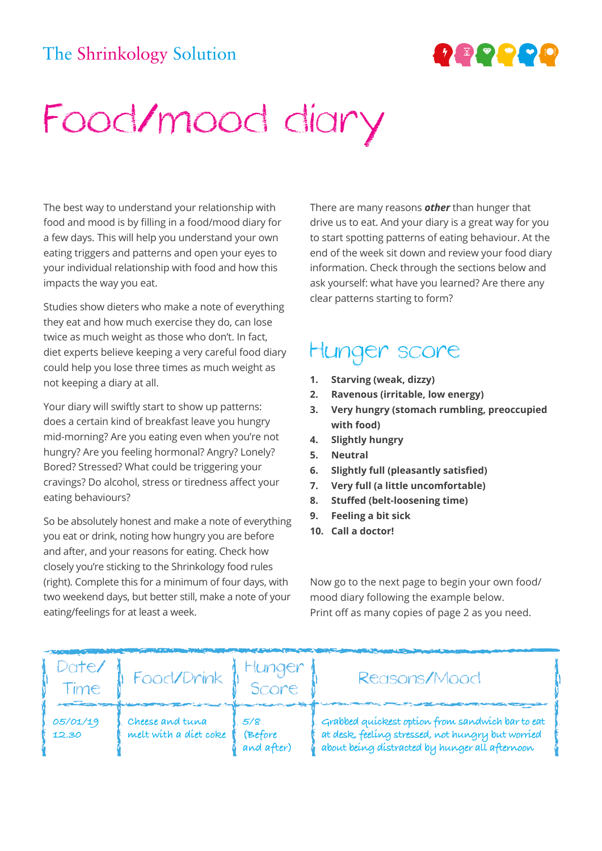## The Shrinkology Solution



## Food/mood diary

The best way to understand your relationship with food and mood is by filling in a food/mood diary for a few days. This will help you understand your own eating triggers and patterns and open your eyes to your individual relationship with food and how this impacts the way you eat.

Studies show dieters who make a note of everything they eat and how much exercise they do, can lose twice as much weight as those who don't. In fact, diet experts believe keeping a very careful food diary could help you lose three times as much weight as not keeping a diary at all.

Your diary will swiftly start to show up patterns: does a certain kind of breakfast leave you hungry mid-morning? Are you eating even when you're not hungry? Are you feeling hormonal? Angry? Lonely? Bored? Stressed? What could be triggering your cravings? Do alcohol, stress or tiredness affect your eating behaviours?

So be absolutely honest and make a note of everything you eat or drink, noting how hungry you are before and after, and your reasons for eating. Check how closely you're sticking to the Shrinkology food rules (right). Complete this for a minimum of four days, with two weekend days, but better still, make a note of your eating/feelings for at least a week.

There are many reasons *other* than hunger that drive us to eat. And your diary is a great way for you to start spotting patterns of eating behaviour. At the end of the week sit down and review your food diary information. Check through the sections below and ask yourself: what have you learned? Are there any clear patterns starting to form?

## Hunger score

- **1. Starving (weak, dizzy)**
- **2. Ravenous (irritable, low energy)**
- **3. Very hungry (stomach rumbling, preoccupied with food)**
- **4. Slightly hungry**
- **5. Neutral**
- **6. Slightly full (pleasantly satisfied)**
- **7. Very full (a little uncomfortable)**
- **8. Stuffed (belt-loosening time)**
- **9. Feeling a bit sick**
- **10. Call a doctor!**

Now go to the next page to begin your own food/ mood diary following the example below. Print off as many copies of page 2 as you need.

| Date/<br>Time<br>$-$ | Food/Drink                               | Hunger<br>Score              | Reasons/Mood                                                                                                                                            |
|----------------------|------------------------------------------|------------------------------|---------------------------------------------------------------------------------------------------------------------------------------------------------|
| 05/01/19<br>12.30    | Cheese and tuna<br>melt with a diet coke | 5/8<br>(Before<br>and after) | Grabbed quickest option from sandwich bar to eat<br>at desk, feeling stressed, not hungry but worried<br>about being distracted by hunger all afternoon |